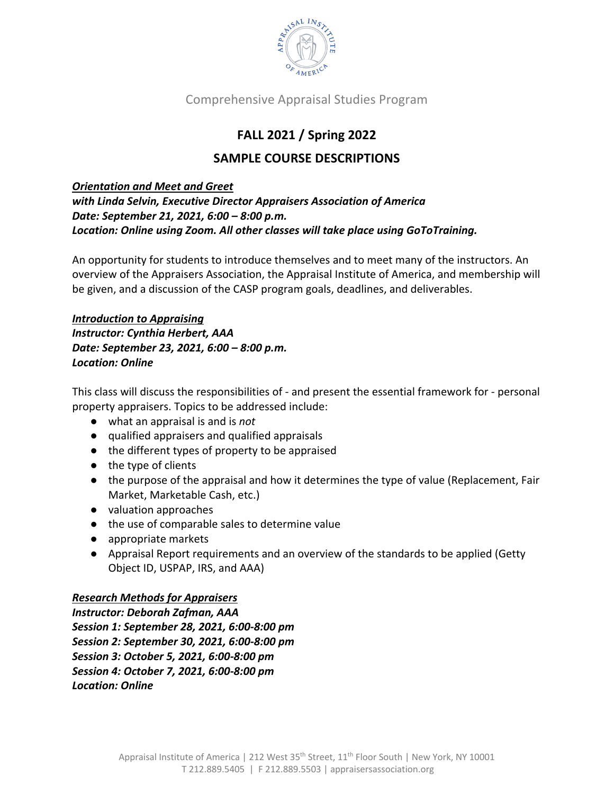

## **FALL 2021 / Spring 2022**

## **SAMPLE COURSE DESCRIPTIONS**

## *Orientation and Meet and Greet*

*with Linda Selvin, Executive Director Appraisers Association of America Date: September 21, 2021, 6:00 – 8:00 p.m. Location: Online using Zoom. All other classes will take place using GoToTraining.*

An opportunity for students to introduce themselves and to meet many of the instructors. An overview of the Appraisers Association, the Appraisal Institute of America, and membership will be given, and a discussion of the CASP program goals, deadlines, and deliverables.

*Introduction to Appraising Instructor: Cynthia Herbert, AAA Date: September 23, 2021, 6:00 – 8:00 p.m. Location: Online*

This class will discuss the responsibilities of - and present the essential framework for - personal property appraisers. Topics to be addressed include:

- what an appraisal is and is *not*
- qualified appraisers and qualified appraisals
- the different types of property to be appraised
- the type of clients
- the purpose of the appraisal and how it determines the type of value (Replacement, Fair Market, Marketable Cash, etc.)
- valuation approaches
- the use of comparable sales to determine value
- appropriate markets
- Appraisal Report requirements and an overview of the standards to be applied (Getty Object ID, USPAP, IRS, and AAA)

## *Research Methods for Appraisers*

*Instructor: Deborah Zafman, AAA Session 1: September 28, 2021, 6:00-8:00 pm Session 2: September 30, 2021, 6:00-8:00 pm Session 3: October 5, 2021, 6:00-8:00 pm Session 4: October 7, 2021, 6:00-8:00 pm Location: Online*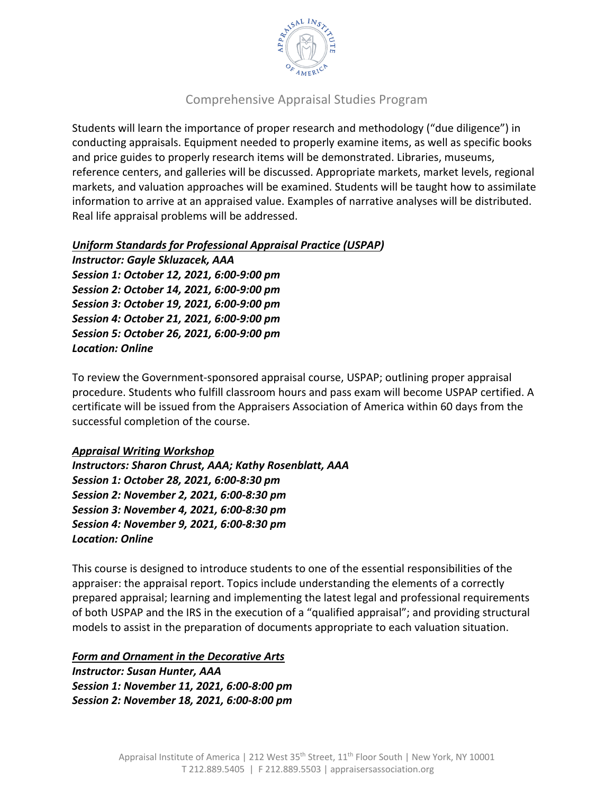

Students will learn the importance of proper research and methodology ("due diligence") in conducting appraisals. Equipment needed to properly examine items, as well as specific books and price guides to properly research items will be demonstrated. Libraries, museums, reference centers, and galleries will be discussed. Appropriate markets, market levels, regional markets, and valuation approaches will be examined. Students will be taught how to assimilate information to arrive at an appraised value. Examples of narrative analyses will be distributed. Real life appraisal problems will be addressed.

#### *Uniform Standards for Professional Appraisal Practice (USPAP)*

*Instructor: Gayle Skluzacek, AAA Session 1: October 12, 2021, 6:00-9:00 pm Session 2: October 14, 2021, 6:00-9:00 pm Session 3: October 19, 2021, 6:00-9:00 pm Session 4: October 21, 2021, 6:00-9:00 pm Session 5: October 26, 2021, 6:00-9:00 pm Location: Online*

To review the Government-sponsored appraisal course, USPAP; outlining proper appraisal procedure. Students who fulfill classroom hours and pass exam will become USPAP certified. A certificate will be issued from the Appraisers Association of America within 60 days from the successful completion of the course.

#### *Appraisal Writing Workshop*

*Instructors: Sharon Chrust, AAA; Kathy Rosenblatt, AAA Session 1: October 28, 2021, 6:00-8:30 pm Session 2: November 2, 2021, 6:00-8:30 pm Session 3: November 4, 2021, 6:00-8:30 pm Session 4: November 9, 2021, 6:00-8:30 pm Location: Online*

This course is designed to introduce students to one of the essential responsibilities of the appraiser: the appraisal report. Topics include understanding the elements of a correctly prepared appraisal; learning and implementing the latest legal and professional requirements of both USPAP and the IRS in the execution of a "qualified appraisal"; and providing structural models to assist in the preparation of documents appropriate to each valuation situation.

#### *Form and Ornament in the Decorative Arts*

*Instructor: Susan Hunter, AAA Session 1: November 11, 2021, 6:00-8:00 pm Session 2: November 18, 2021, 6:00-8:00 pm*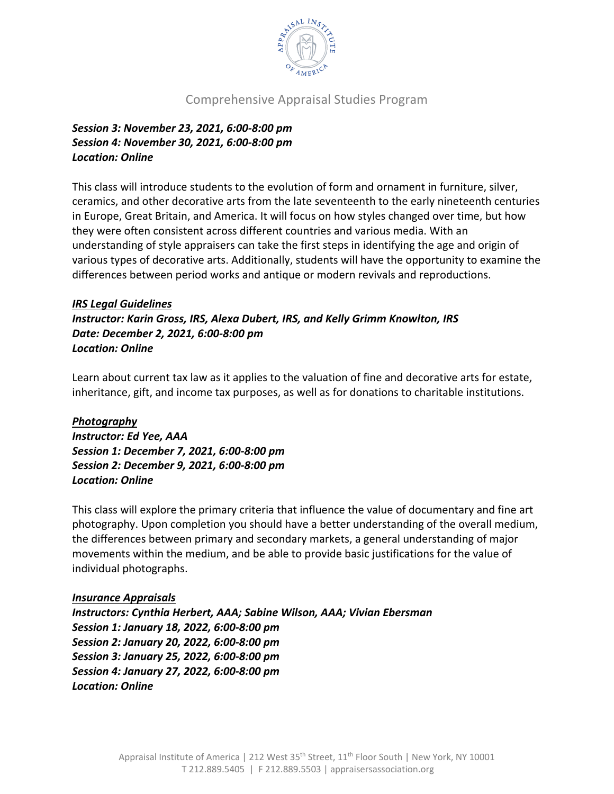

*Session 3: November 23, 2021, 6:00-8:00 pm Session 4: November 30, 2021, 6:00-8:00 pm Location: Online*

This class will introduce students to the evolution of form and ornament in furniture, silver, ceramics, and other decorative arts from the late seventeenth to the early nineteenth centuries in Europe, Great Britain, and America. It will focus on how styles changed over time, but how they were often consistent across different countries and various media. With an understanding of style appraisers can take the first steps in identifying the age and origin of various types of decorative arts. Additionally, students will have the opportunity to examine the differences between period works and antique or modern revivals and reproductions.

#### *IRS Legal Guidelines*

*Instructor: Karin Gross, IRS, Alexa Dubert, IRS, and Kelly Grimm Knowlton, IRS Date: December 2, 2021, 6:00-8:00 pm Location: Online*

Learn about current tax law as it applies to the valuation of fine and decorative arts for estate, inheritance, gift, and income tax purposes, as well as for donations to charitable institutions.

#### *Photography*

*Instructor: Ed Yee, AAA Session 1: December 7, 2021, 6:00-8:00 pm Session 2: December 9, 2021, 6:00-8:00 pm Location: Online*

This class will explore the primary criteria that influence the value of documentary and fine art photography. Upon completion you should have a better understanding of the overall medium, the differences between primary and secondary markets, a general understanding of major movements within the medium, and be able to provide basic justifications for the value of individual photographs.

#### *Insurance Appraisals*

*Instructors: Cynthia Herbert, AAA; Sabine Wilson, AAA; Vivian Ebersman Session 1: January 18, 2022, 6:00-8:00 pm Session 2: January 20, 2022, 6:00-8:00 pm Session 3: January 25, 2022, 6:00-8:00 pm Session 4: January 27, 2022, 6:00-8:00 pm Location: Online*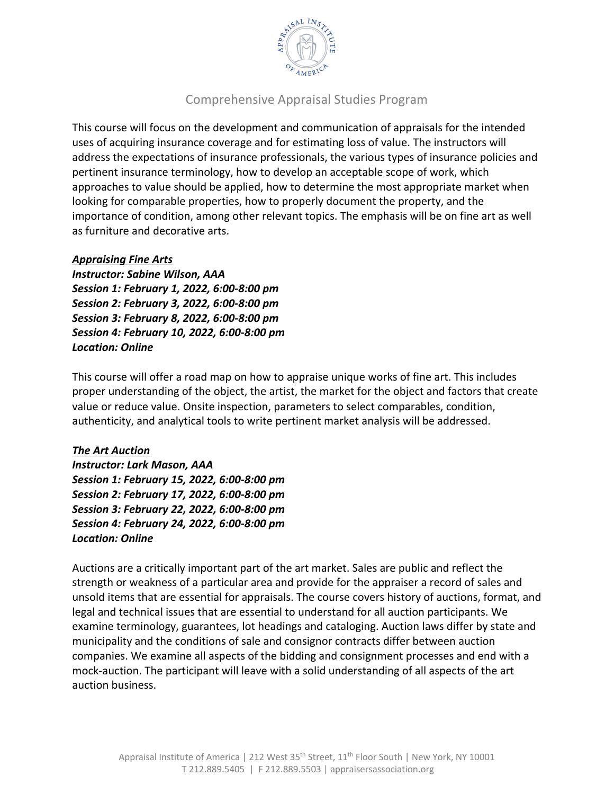

This course will focus on the development and communication of appraisals for the intended uses of acquiring insurance coverage and for estimating loss of value. The instructors will address the expectations of insurance professionals, the various types of insurance policies and pertinent insurance terminology, how to develop an acceptable scope of work, which approaches to value should be applied, how to determine the most appropriate market when looking for comparable properties, how to properly document the property, and the importance of condition, among other relevant topics. The emphasis will be on fine art as well as furniture and decorative arts.

#### *Appraising Fine Arts*

*Instructor: Sabine Wilson, AAA Session 1: February 1, 2022, 6:00-8:00 pm Session 2: February 3, 2022, 6:00-8:00 pm Session 3: February 8, 2022, 6:00-8:00 pm Session 4: February 10, 2022, 6:00-8:00 pm Location: Online*

This course will offer a road map on how to appraise unique works of fine art. This includes proper understanding of the object, the artist, the market for the object and factors that create value or reduce value. Onsite inspection, parameters to select comparables, condition, authenticity, and analytical tools to write pertinent market analysis will be addressed.

#### *The Art Auction*

*Instructor: Lark Mason, AAA Session 1: February 15, 2022, 6:00-8:00 pm Session 2: February 17, 2022, 6:00-8:00 pm Session 3: February 22, 2022, 6:00-8:00 pm Session 4: February 24, 2022, 6:00-8:00 pm Location: Online*

Auctions are a critically important part of the art market. Sales are public and reflect the strength or weakness of a particular area and provide for the appraiser a record of sales and unsold items that are essential for appraisals. The course covers history of auctions, format, and legal and technical issues that are essential to understand for all auction participants. We examine terminology, guarantees, lot headings and cataloging. Auction laws differ by state and municipality and the conditions of sale and consignor contracts differ between auction companies. We examine all aspects of the bidding and consignment processes and end with a mock-auction. The participant will leave with a solid understanding of all aspects of the art auction business.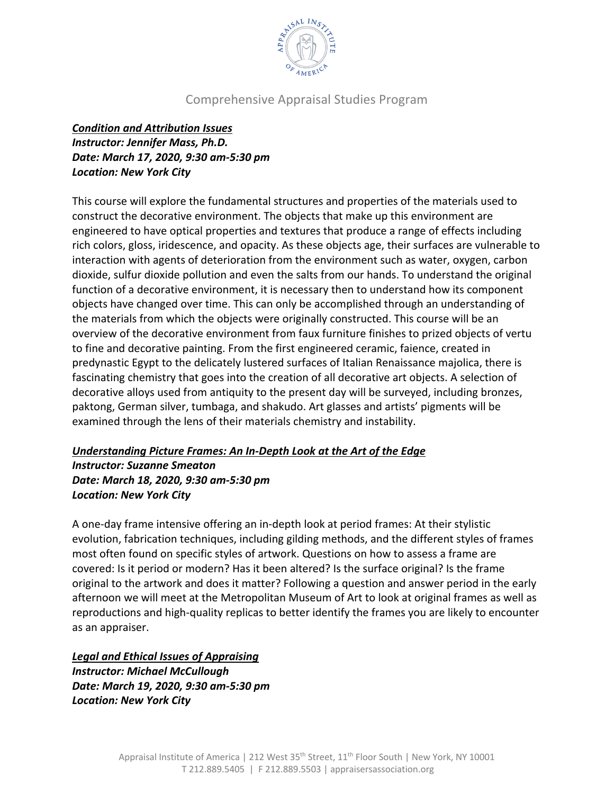

## *Condition and Attribution Issues Instructor: Jennifer Mass, Ph.D. Date: March 17, 2020, 9:30 am-5:30 pm Location: New York City*

This course will explore the fundamental structures and properties of the materials used to construct the decorative environment. The objects that make up this environment are engineered to have optical properties and textures that produce a range of effects including rich colors, gloss, iridescence, and opacity. As these objects age, their surfaces are vulnerable to interaction with agents of deterioration from the environment such as water, oxygen, carbon dioxide, sulfur dioxide pollution and even the salts from our hands. To understand the original function of a decorative environment, it is necessary then to understand how its component objects have changed over time. This can only be accomplished through an understanding of the materials from which the objects were originally constructed. This course will be an overview of the decorative environment from faux furniture finishes to prized objects of vertu to fine and decorative painting. From the first engineered ceramic, faience, created in predynastic Egypt to the delicately lustered surfaces of Italian Renaissance majolica, there is fascinating chemistry that goes into the creation of all decorative art objects. A selection of decorative alloys used from antiquity to the present day will be surveyed, including bronzes, paktong, German silver, tumbaga, and shakudo. Art glasses and artists' pigments will be examined through the lens of their materials chemistry and instability.

#### *Understanding Picture Frames: An In-Depth Look at the Art of the Edge Instructor: Suzanne Smeaton Date: March 18, 2020, 9:30 am-5:30 pm Location: New York City*

A one-day frame intensive offering an in-depth look at period frames: At their stylistic evolution, fabrication techniques, including gilding methods, and the different styles of frames most often found on specific styles of artwork. Questions on how to assess a frame are covered: Is it period or modern? Has it been altered? Is the surface original? Is the frame original to the artwork and does it matter? Following a question and answer period in the early afternoon we will meet at the Metropolitan Museum of Art to look at original frames as well as reproductions and high-quality replicas to better identify the frames you are likely to encounter as an appraiser.

### *Legal and Ethical Issues of Appraising*

*Instructor: Michael McCullough Date: March 19, 2020, 9:30 am-5:30 pm Location: New York City*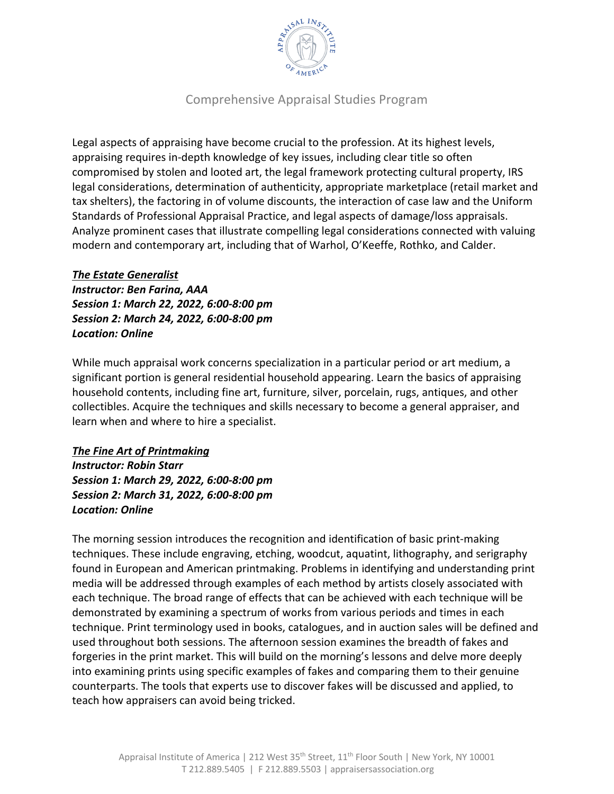

Legal aspects of appraising have become crucial to the profession. At its highest levels, appraising requires in-depth knowledge of key issues, including clear title so often compromised by stolen and looted art, the legal framework protecting cultural property, IRS legal considerations, determination of authenticity, appropriate marketplace (retail market and tax shelters), the factoring in of volume discounts, the interaction of case law and the Uniform Standards of Professional Appraisal Practice, and legal aspects of damage/loss appraisals. Analyze prominent cases that illustrate compelling legal considerations connected with valuing modern and contemporary art, including that of Warhol, O'Keeffe, Rothko, and Calder.

#### *The Estate Generalist*

*Instructor: Ben Farina, AAA Session 1: March 22, 2022, 6:00-8:00 pm Session 2: March 24, 2022, 6:00-8:00 pm Location: Online*

While much appraisal work concerns specialization in a particular period or art medium, a significant portion is general residential household appearing. Learn the basics of appraising household contents, including fine art, furniture, silver, porcelain, rugs, antiques, and other collectibles. Acquire the techniques and skills necessary to become a general appraiser, and learn when and where to hire a specialist.

# *The Fine Art of Printmaking*

*Instructor: Robin Starr Session 1: March 29, 2022, 6:00-8:00 pm Session 2: March 31, 2022, 6:00-8:00 pm Location: Online*

The morning session introduces the recognition and identification of basic print-making techniques. These include engraving, etching, woodcut, aquatint, lithography, and serigraphy found in European and American printmaking. Problems in identifying and understanding print media will be addressed through examples of each method by artists closely associated with each technique. The broad range of effects that can be achieved with each technique will be demonstrated by examining a spectrum of works from various periods and times in each technique. Print terminology used in books, catalogues, and in auction sales will be defined and used throughout both sessions. The afternoon session examines the breadth of fakes and forgeries in the print market. This will build on the morning's lessons and delve more deeply into examining prints using specific examples of fakes and comparing them to their genuine counterparts. The tools that experts use to discover fakes will be discussed and applied, to teach how appraisers can avoid being tricked.